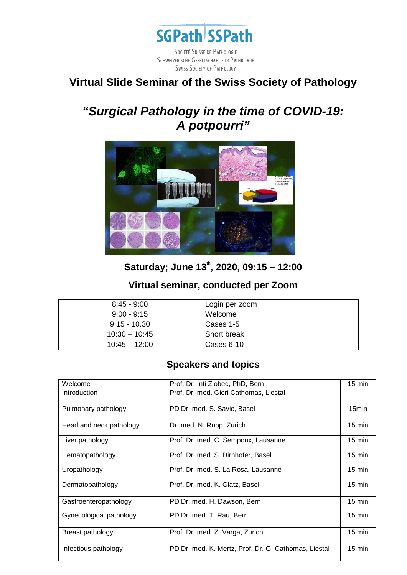

## **Virtual Slide Seminar of the Swiss Society of Pathology**

# *"Surgical Pathology in the time of COVID-19: A potpourri"*



## **Saturday; June 13th, 2020, 09:15 – 12:00**

#### **Virtual seminar, conducted per Zoom**

| $8:45 - 9:00$   | Login per zoom |
|-----------------|----------------|
| $9:00 - 9:15$   | Welcome        |
| $9:15 - 10.30$  | Cases 1-5      |
| $10:30 - 10:45$ | Short break    |
| $10:45 - 12:00$ | Cases 6-10     |

### **Speakers and topics**

| Welcome                 | Prof. Dr. Inti Zlobec, PhD, Bern                     | $15 \text{ min}$ |
|-------------------------|------------------------------------------------------|------------------|
| Introduction            | Prof. Dr. med. Gieri Cathomas, Liestal               |                  |
|                         |                                                      |                  |
| Pulmonary pathology     | PD Dr. med. S. Savic, Basel                          | 15min            |
|                         |                                                      |                  |
| Head and neck pathology | Dr. med. N. Rupp, Zurich                             | $15 \text{ min}$ |
|                         |                                                      |                  |
| Liver pathology         | Prof. Dr. med. C. Sempoux, Lausanne                  | $15 \text{ min}$ |
|                         |                                                      |                  |
| Hematopathology         | Prof. Dr. med. S. Dirnhofer, Basel                   | $15 \text{ min}$ |
|                         |                                                      |                  |
| Uropathology            | Prof. Dr. med. S. La Rosa, Lausanne                  | $15 \text{ min}$ |
|                         |                                                      |                  |
| Dermatopathology        | Prof. Dr. med. K. Glatz, Basel                       | $15 \text{ min}$ |
|                         |                                                      |                  |
| Gastroenteropathology   | PD Dr. med. H. Dawson, Bern                          | $15 \text{ min}$ |
|                         |                                                      |                  |
| Gynecological pathology | PD Dr. med. T. Rau, Bern                             | $15 \text{ min}$ |
|                         |                                                      |                  |
| Breast pathology        | Prof. Dr. med. Z. Varga, Zurich                      | $15 \text{ min}$ |
|                         |                                                      |                  |
| Infectious pathology    | PD Dr. med. K. Mertz, Prof. Dr. G. Cathomas, Liestal | $15 \text{ min}$ |
|                         |                                                      |                  |